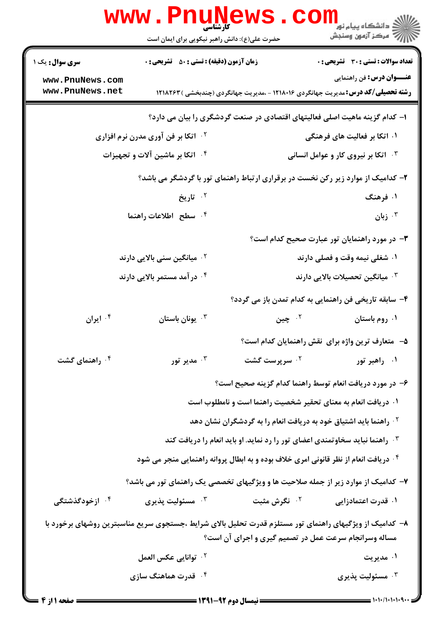|                                         | <b>www.PnuNews</b><br>کارشناسی                                                                          |                                                                                          | ڪ دانشڪاه پيام نور<br><mark>∕</mark> 7 مرڪز آزمون وسنڊش |
|-----------------------------------------|---------------------------------------------------------------------------------------------------------|------------------------------------------------------------------------------------------|---------------------------------------------------------|
|                                         | حضرت علی(ع): دانش راهبر نیکویی برای ایمان است                                                           |                                                                                          |                                                         |
| <b>سری سوال :</b> یک ۱                  | <b>زمان آزمون (دقیقه) : تستی : 50 ٪ تشریحی : 0</b>                                                      |                                                                                          | تعداد سوالات : تستي : 30 ٪ تشريحي : 0                   |
| www.PnuNews.com<br>www.PnuNews.net      |                                                                                                         | <b>رشته تحصیلی/کد درس:</b> مدیریت جهانگردی ۱۲۱۸۰۱۶ - ،مدیریت جهانگردی (چندبخشی ) ۱۲۱۸۲۶۳ | <b>عنـــوان درس:</b> فن راهنمایی                        |
|                                         |                                                                                                         | ا– کدام گزینه ماهیت اصلی فعالیتهای اقتصادی در صنعت گردشگری را بیان می دارد؟              |                                                         |
|                                         | <b>گ اتکا بر فن آوری مدرن نرم افزاری</b>                                                                |                                                                                          | ۰۱ اتکا بر فعالیت های فرهنگی                            |
|                                         | ۰۴ اتکا بر ماشین آلات و تجهیزات                                                                         |                                                                                          | <b>4 - اتکا بر نیروی کار و عوامل انسانی</b>             |
|                                         |                                                                                                         | ۲- کدامیک از موارد زیر رکن نخست در برقراری ارتباط راهنمای تور با گردشگر می باشد؟         |                                                         |
|                                         | ۲. تاریخ                                                                                                |                                                                                          | ۰۱ فرهنگ                                                |
|                                         | ۰۴ سطح اطلاعات راهنما                                                                                   |                                                                                          | زبان $\cdot^{\mathsf{r}}$                               |
|                                         |                                                                                                         |                                                                                          | ۰۳ در مورد راهنمایان تور عبارت صحیح کدام است؟           |
| ۰ <sup>۲</sup> میانگین سنی بالایی دارند |                                                                                                         | ۰۱ شغلی نیمه وقت و فصلی دارند                                                            |                                                         |
| ۰۴ در آمد مستمر بالایی دارند            |                                                                                                         | شمیانگین تحصیلات بالایی دارند $\cdot$                                                    |                                                         |
|                                         |                                                                                                         | ۴– سابقه تاریخی فن راهنمایی به کدام تمدن باز می گردد؟                                    |                                                         |
| ۰۴ ایران                                | يونان باستان $\cdot^{\mathsf{\texttt{v}}}$                                                              | ۰۲ چين                                                                                   | ۰۱ روم باستان                                           |
|                                         |                                                                                                         |                                                                                          | ۵− متعارف ترين واژه براي نقش راهنمايان كدام است؟        |
| ۰ <sup>۴</sup> راهنمای گشت              | مدير تور $\cdot^{\mathsf{r}}$                                                                           | ۰ <sup>۲</sup> سرپرست گشت                                                                | ۰۱ راهبر تور                                            |
|                                         |                                                                                                         | ۶– در مورد دریافت انعام توسط راهنما کدام گزینه صحیح است؟                                 |                                                         |
|                                         |                                                                                                         | ۰۱ دریافت انعام به معنای تحقیر شخصیت راهنما است و نامطلوب است                            |                                                         |
|                                         |                                                                                                         | <sup>۲</sup> ۰ راهنما باید اشتیاق خود به دریافت انعام را به گردشگران نشان دهد            |                                                         |
|                                         |                                                                                                         | ۰۳ راهنما نباید سخاوتمندی اعضای تور را رد نماید. او باید انعام را دریافت کند             |                                                         |
|                                         |                                                                                                         | ۰۴ دریافت انعام از نظر قانونی امری خلاف بوده و به ابطال پروانه راهنمایی منجر می شود      |                                                         |
|                                         | ۷– کدامیک از موارد زیر از جمله صلاحیت ها و ویژگیهای تخصصی یک راهنمای تور می باشد؟                       |                                                                                          |                                                         |
| ۰۴ ازخودگذشتگی                          | مسئوليت پذيرى $\cdot^{\mathsf{v}}$                                                                      | ۰ <sup>۲</sup> نگرش مثبت                                                                 | ۰۱ قدرت اعتمادزایی                                      |
|                                         | ۸– کدامیک از ویژگیهای راهنمای تور مستلزم قدرت تحلیل بالای شرایط ،جستجوی سریع مناسبترین روشهای برخورد با | مساله وسرانجام سرعت عمل در تصمیم گیری و اجرای آن است؟                                    |                                                         |
|                                         | <sup>٢ .</sup> توانايي عكس العمل                                                                        |                                                                                          | ۰۱ مدیریت                                               |
|                                         | ۰۴ قدرت هماهنگ سازی                                                                                     |                                                                                          | مسئوليت پذيرى $\cdot^{\mathsf{v}}$                      |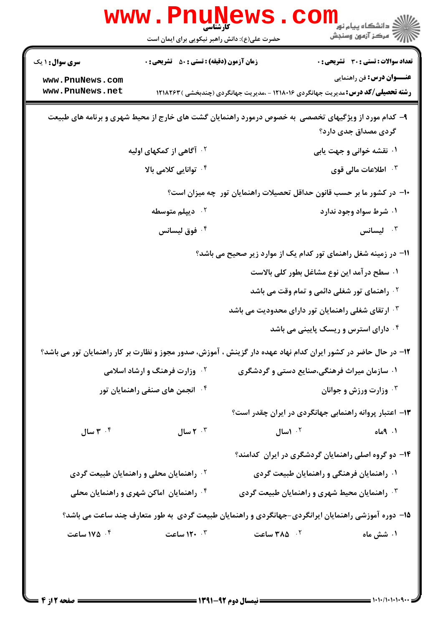|                                                      | www.PnuNews                                                                        |                                                                                                                 | ڪ دانشڪاه پيا <sub>م</sub> نور<br><mark>ر</mark> 7 مرڪز آزمون وسنڊش |
|------------------------------------------------------|------------------------------------------------------------------------------------|-----------------------------------------------------------------------------------------------------------------|---------------------------------------------------------------------|
|                                                      | حضرت علی(ع): دانش راهبر نیکویی برای ایمان است                                      |                                                                                                                 |                                                                     |
| <b>سری سوال : ۱ یک</b>                               | <b>زمان آزمون (دقیقه) : تستی : 50 ٪ تشریحی : 0</b>                                 |                                                                                                                 | <b>تعداد سوالات : تستی : 30 ٪ تشریحی : 0</b>                        |
| www.PnuNews.com                                      |                                                                                    |                                                                                                                 | <b>عنـــوان درس:</b> فن راهنمایی                                    |
| www.PnuNews.net                                      |                                                                                    | <b>رشته تحصیلی/کد درس:</b> مدیریت جهانگردی ۱۲۱۸۰۱۶ - ،مدیریت جهانگردی (چندبخشی ) ۱۲۱۸۲۶۳                        |                                                                     |
|                                                      |                                                                                    | ۹- کدام مورد از ویژگیهای تخصصی به خصوص درمورد راهنمایان گشت های خارج از محیط شهری و برنامه های طبیعت            |                                                                     |
|                                                      |                                                                                    |                                                                                                                 | گردی مصداق جدی دارد؟                                                |
|                                                      | <sup>۲</sup> ۰ آگاهی از کمکهای اولیه                                               |                                                                                                                 | ۰۱ نقشه خوانی و جهت یابی                                            |
| ۰ <sup>۴</sup> توانایی کلامی بالا                    |                                                                                    | ۰ <sup>۳</sup> اطلاعات مالی قوی                                                                                 |                                                                     |
|                                                      |                                                                                    | ∙۱− در کشور ما بر حسب قانون حداقل تحصیلات راهنمایان تور چه میزان است؟                                           |                                                                     |
|                                                      | ۰ <sup>۲</sup> دیپلم متوسطه                                                        |                                                                                                                 | ۰۱ شرط سواد وجود ندارد                                              |
| ۰ <sup>۴</sup> فوق لیسانس                            |                                                                                    | ليسانس $\cdot$ $^{\circ}$                                                                                       |                                                                     |
|                                                      |                                                                                    | 11- در زمینه شغل راهنمای تور کدام یک از موارد زیر صحیح می باشد؟                                                 |                                                                     |
|                                                      |                                                                                    |                                                                                                                 | ۰۱ سطح درآمد این نوع مشاغل بطور کلی بالاست                          |
|                                                      |                                                                                    |                                                                                                                 | <sup>۰۲</sup> راهنمای تور شغلی دائمی و تمام وقت می باشد             |
|                                                      |                                                                                    | ۰۳ ارتقای شغلی راهنمایان تور دارای محدودیت می باشد                                                              |                                                                     |
|                                                      |                                                                                    |                                                                                                                 | ۰۴ دارای استرس و ریسک پایینی می باشد                                |
|                                                      |                                                                                    | ۱۲– در حال حاضر در کشور ایران کدام نهاد عهده دار گزینش ، آموزش، صدور مجوز و نظارت بر کار راهنمایان تور می باشد؟ |                                                                     |
|                                                      | ۰۱ سازمان میراث فرهنگی،صنایع دستی و گردشگری<br><b>گ وزارت فرهنگ و ارشاد اسلامی</b> |                                                                                                                 |                                                                     |
| <sup>۴ .</sup> انجمن های صنفی راهنمایان تور          |                                                                                    | وزارت ورزش و جوانان "                                                                                           |                                                                     |
|                                                      |                                                                                    |                                                                                                                 | ۱۳- اعتبار پروانه راهنمایی جهانگردی در ایران چقدر است؟              |
| ۳ $\cdot$ ۳ سال                                      | ۲ ۰ <sup>۳</sup> سال                                                               | ۰۲ اسال                                                                                                         | $\cdot$ $\rho_{\text{alo}}$                                         |
|                                                      |                                                                                    |                                                                                                                 | ۱۴– دو گروه اصلی راهنمایان گردشگری در ایران کدامند؟                 |
| ۰۲ راهنمایان محلی و راهنمایان طبیعت گردی             |                                                                                    | ۰۱ راهنمایان فرهنگی و راهنمایان طبیعت گردی                                                                      |                                                                     |
| <sup>۴</sup> ۰ راهنمایان اماکن شهری و راهنمایان محلی |                                                                                    | ۰۳ راهنمایان محیط شهری و راهنمایان طبیعت گردی                                                                   |                                                                     |
|                                                      |                                                                                    | ۱۵– دوره آموزشی راهنمایان ایرانگردی-جهانگردی و راهنمایان طبیعت گردی به طور متعارف چند ساعت می باشد؟             |                                                                     |
| ۰۴ ۱۷۵ ساعت                                          | ۰ <sup>۳</sup> ۱۲۰ ساعت                                                            | ۰ <sup>۲</sup> ه۳۸۵ ساعت                                                                                        | ۰۱ شش ماه                                                           |
|                                                      |                                                                                    |                                                                                                                 |                                                                     |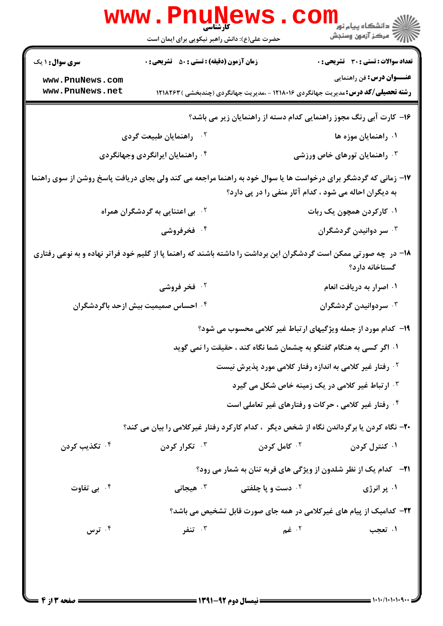| <b>www.PnuNews</b><br>ر دانشڪاه پيام نور <mark>− ا</mark><br>ا <i>را</i> مرکز آزمون وسنڊش                                                                                 |                                                                                          |                                                                                          |                                              |  |  |
|---------------------------------------------------------------------------------------------------------------------------------------------------------------------------|------------------------------------------------------------------------------------------|------------------------------------------------------------------------------------------|----------------------------------------------|--|--|
|                                                                                                                                                                           | حضرت علی(ع): دانش راهبر نیکویی برای ایمان است                                            |                                                                                          |                                              |  |  |
| <b>سری سوال : ۱ یک</b>                                                                                                                                                    | زمان آزمون (دقیقه) : تستی : 50 ٪ تشریحی : 0                                              |                                                                                          | <b>تعداد سوالات : تستی : 30 ٪ تشریحی : 0</b> |  |  |
| www.PnuNews.com<br>www.PnuNews.net                                                                                                                                        |                                                                                          | <b>رشته تحصیلی/کد درس:</b> مدیریت جهانگردی ۱۲۱۸۰۱۶ - ،مدیریت جهانگردی (چندبخشی ) ۱۲۱۸۲۶۳ | <b>عنـــوان درس:</b> فن راهنمایی             |  |  |
| ۱۶– کارت آبی رنگ مجوز راهنمایی کدام دسته از راهنمایان زیر می باشد؟                                                                                                        |                                                                                          |                                                                                          |                                              |  |  |
|                                                                                                                                                                           | ۰۲ راهنمایان طبیعت گردی                                                                  |                                                                                          | ۰۱ راهنمایان موزه ها                         |  |  |
|                                                                                                                                                                           | ۰۴ راهنمایان ایرانگردی وجهانگردی                                                         |                                                                                          | ۰۳ راهنمایان تورهای خاص ورزشی                |  |  |
| ۱۷- زمانی که گردشگر برای درخواست ها یا سوال خود به راهنما مراجعه می کند ولی بجای دریافت پاسخ روشن از سوی راهنما<br>به دیگران احاله می شود ، کدام آثار منفی را در پی دارد؟ |                                                                                          |                                                                                          |                                              |  |  |
|                                                                                                                                                                           | <sup>۲</sup> ۰ بی اعتنایی به گردشگران همراه                                              |                                                                                          | ۰۱ کارکردن همچون یک ربات                     |  |  |
|                                                                                                                                                                           | ۰۴ فخرفروشی                                                                              |                                                                                          | ۰۳ سر دوانیدن گردشگران                       |  |  |
| ۱۸– در چه صورتی ممکن است گردشگران این برداشت را داشته باشند که راهنما پا از گلیم خود فراتر نهاده و به نوعی رفتاری<br>گستاخانه دارد؟                                       |                                                                                          |                                                                                          |                                              |  |  |
|                                                                                                                                                                           | ۰۲ فخر فروشی                                                                             |                                                                                          | ۰۱ اصرار به دریافت انعام                     |  |  |
|                                                                                                                                                                           | ۰۴ احساس صمیمیت بیش ازحد باگردشگران                                                      |                                                                                          | ۰۳ سردوانیدن گردشگران $\cdot$                |  |  |
|                                                                                                                                                                           |                                                                                          | ۱۹- کدام مورد از جمله ویژگیهای ارتباط غیر کلامی محسوب می شود؟                            |                                              |  |  |
|                                                                                                                                                                           |                                                                                          | ۰۱ اگر کسی به هنگام گفتگو به چشمان شما نگاه کند ، حقیقت را نمی گوید                      |                                              |  |  |
|                                                                                                                                                                           |                                                                                          | <sup>۲</sup> . رفتار غیر کلامی به اندازه رفتار کلامی مورد پذیرش نیست                     |                                              |  |  |
|                                                                                                                                                                           |                                                                                          | ۰ <sup>۳ ا</sup> رتباط غیر کلامی در یک زمینه خاص شکل می گیرد                             |                                              |  |  |
|                                                                                                                                                                           |                                                                                          | ۰۴ رفتار غیر کلامی ، حرکات و رفتارهای غیر تعاملی است                                     |                                              |  |  |
|                                                                                                                                                                           | +۲- نگاه کردن یا برگرداندن نگاه از شخص دیگر ، کدام کارکرد رفتار غیرکلامی را بیان می کند؟ |                                                                                          |                                              |  |  |
| ۰۴ تکذیب کردن                                                                                                                                                             | ۰ <sup>۳</sup> تکرار کردن                                                                | ۰ <sup>۲</sup> کامل کردن                                                                 | ۰۱ کنترل کردن                                |  |  |
|                                                                                                                                                                           |                                                                                          | <b>۲۱</b> - کدام یک از نظر شلدون از ویژگی های فربه تنان به شمار می رود؟                  |                                              |  |  |
| ۰۴ بی تفاوت                                                                                                                                                               | هیجانی $\cdot$                                                                           | <b>10 دست و یا چلفتی</b>                                                                 | ۰۱ پر انرژی                                  |  |  |
|                                                                                                                                                                           |                                                                                          | ۲۲- کدامیک از پیام های غیرکلامی در همه جای صورت قابل تشخیص می باشد؟                      |                                              |  |  |
| ترس $\cdot$ ۴                                                                                                                                                             | تنفر $\cdot$                                                                             | ۰۲ غم                                                                                    | ۰۱ تعجب                                      |  |  |
|                                                                                                                                                                           |                                                                                          |                                                                                          |                                              |  |  |

 $= 1.1.1.1.1.1.9$